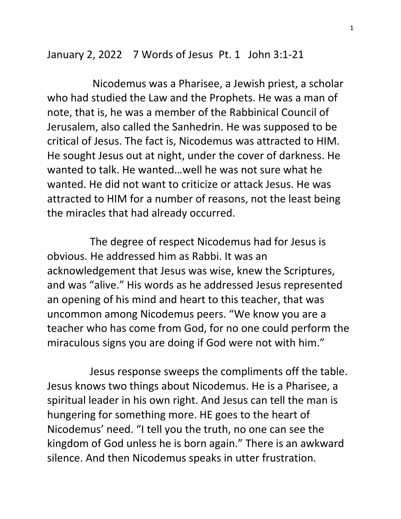January 2, 2022 7 Words of Jesus Pt. 1 John 3:1-21

 Nicodemus was a Pharisee, a Jewish priest, a scholar who had studied the Law and the Prophets. He was a man of note, that is, he was a member of the Rabbinical Council of Jerusalem, also called the Sanhedrin. He was supposed to be critical of Jesus. The fact is, Nicodemus was attracted to HIM. He sought Jesus out at night, under the cover of darkness. He wanted to talk. He wanted…well he was not sure what he wanted. He did not want to criticize or attack Jesus. He was attracted to HIM for a number of reasons, not the least being the miracles that had already occurred.

 The degree of respect Nicodemus had for Jesus is obvious. He addressed him as Rabbi. It was an acknowledgement that Jesus was wise, knew the Scriptures, and was "alive." His words as he addressed Jesus represented an opening of his mind and heart to this teacher, that was uncommon among Nicodemus peers. "We know you are a teacher who has come from God, for no one could perform the miraculous signs you are doing if God were not with him."

 Jesus response sweeps the compliments off the table. Jesus knows two things about Nicodemus. He is a Pharisee, a spiritual leader in his own right. And Jesus can tell the man is hungering for something more. HE goes to the heart of Nicodemus' need. "I tell you the truth, no one can see the kingdom of God unless he is born again." There is an awkward silence. And then Nicodemus speaks in utter frustration.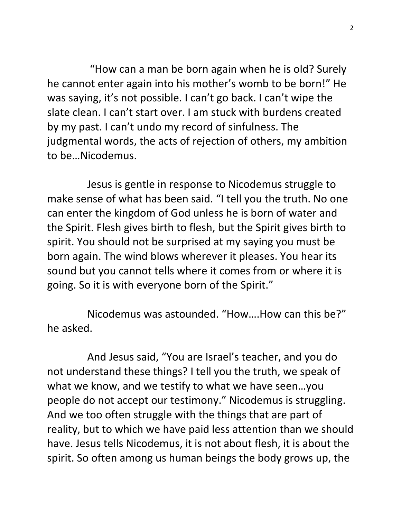"How can a man be born again when he is old? Surely he cannot enter again into his mother's womb to be born!" He was saying, it's not possible. I can't go back. I can't wipe the slate clean. I can't start over. I am stuck with burdens created by my past. I can't undo my record of sinfulness. The judgmental words, the acts of rejection of others, my ambition to be…Nicodemus.

 Jesus is gentle in response to Nicodemus struggle to make sense of what has been said. "I tell you the truth. No one can enter the kingdom of God unless he is born of water and the Spirit. Flesh gives birth to flesh, but the Spirit gives birth to spirit. You should not be surprised at my saying you must be born again. The wind blows wherever it pleases. You hear its sound but you cannot tells where it comes from or where it is going. So it is with everyone born of the Spirit."

 Nicodemus was astounded. "How….How can this be?" he asked.

 And Jesus said, "You are Israel's teacher, and you do not understand these things? I tell you the truth, we speak of what we know, and we testify to what we have seen…you people do not accept our testimony." Nicodemus is struggling. And we too often struggle with the things that are part of reality, but to which we have paid less attention than we should have. Jesus tells Nicodemus, it is not about flesh, it is about the spirit. So often among us human beings the body grows up, the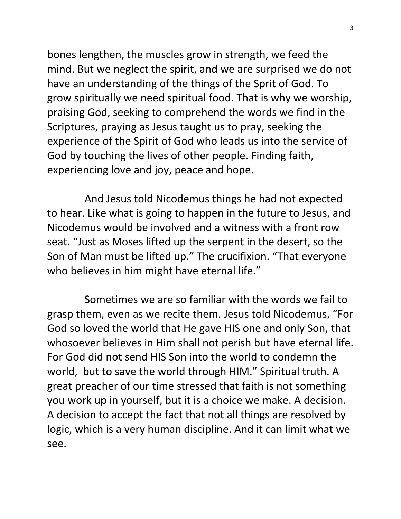bones lengthen, the muscles grow in strength, we feed the mind. But we neglect the spirit, and we are surprised we do not have an understanding of the things of the Sprit of God. To grow spiritually we need spiritual food. That is why we worship, praising God, seeking to comprehend the words we find in the Scriptures, praying as Jesus taught us to pray, seeking the experience of the Spirit of God who leads us into the service of God by touching the lives of other people. Finding faith, experiencing love and joy, peace and hope.

 And Jesus told Nicodemus things he had not expected to hear. Like what is going to happen in the future to Jesus, and Nicodemus would be involved and a witness with a front row seat. "Just as Moses lifted up the serpent in the desert, so the Son of Man must be lifted up." The crucifixion. "That everyone who believes in him might have eternal life."

 Sometimes we are so familiar with the words we fail to grasp them, even as we recite them. Jesus told Nicodemus, "For God so loved the world that He gave HIS one and only Son, that whosoever believes in Him shall not perish but have eternal life. For God did not send HIS Son into the world to condemn the world, but to save the world through HIM." Spiritual truth. A great preacher of our time stressed that faith is not something you work up in yourself, but it is a choice we make. A decision. A decision to accept the fact that not all things are resolved by logic, which is a very human discipline. And it can limit what we see.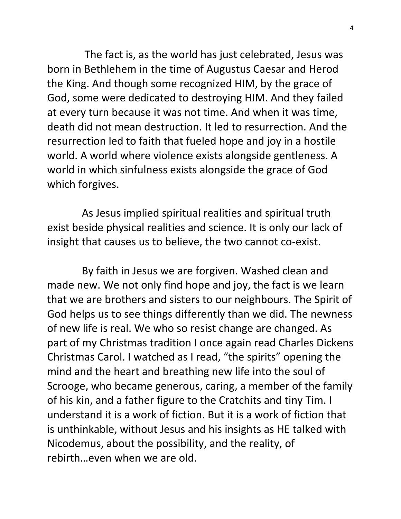The fact is, as the world has just celebrated, Jesus was born in Bethlehem in the time of Augustus Caesar and Herod the King. And though some recognized HIM, by the grace of God, some were dedicated to destroying HIM. And they failed at every turn because it was not time. And when it was time, death did not mean destruction. It led to resurrection. And the resurrection led to faith that fueled hope and joy in a hostile world. A world where violence exists alongside gentleness. A world in which sinfulness exists alongside the grace of God which forgives.

 As Jesus implied spiritual realities and spiritual truth exist beside physical realities and science. It is only our lack of insight that causes us to believe, the two cannot co-exist.

 By faith in Jesus we are forgiven. Washed clean and made new. We not only find hope and joy, the fact is we learn that we are brothers and sisters to our neighbours. The Spirit of God helps us to see things differently than we did. The newness of new life is real. We who so resist change are changed. As part of my Christmas tradition I once again read Charles Dickens Christmas Carol. I watched as I read, "the spirits" opening the mind and the heart and breathing new life into the soul of Scrooge, who became generous, caring, a member of the family of his kin, and a father figure to the Cratchits and tiny Tim. I understand it is a work of fiction. But it is a work of fiction that is unthinkable, without Jesus and his insights as HE talked with Nicodemus, about the possibility, and the reality, of rebirth…even when we are old.